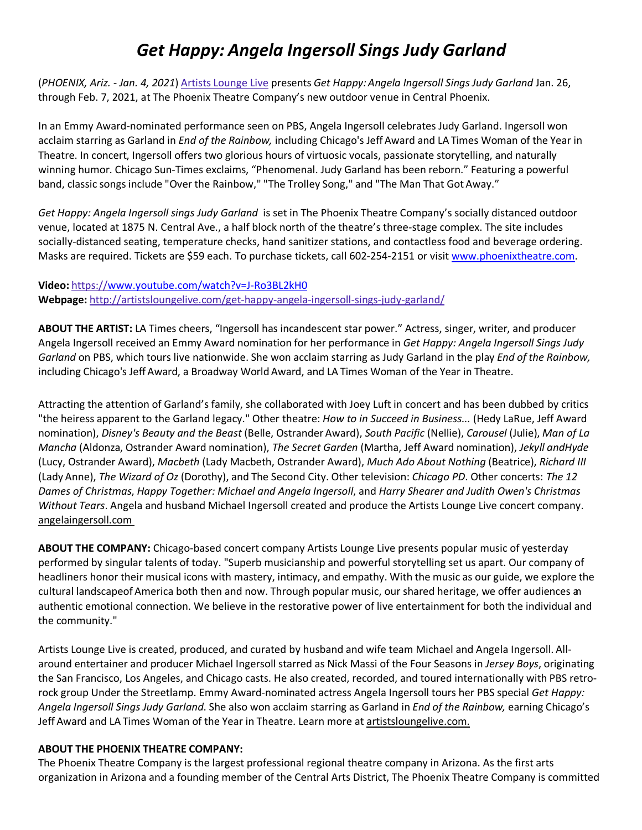# *Get Happy: Angela Ingersoll Sings Judy Garland*

(*PHOENIX, Ariz. - Jan. 4, 2021*) Artists Lounge Live presents *Get Happy: Angela Ingersoll Sings Judy Garland* Jan. 26, through Feb. 7, 2021, at The Phoenix Theatre Company's new outdoor venue in Central Phoenix.

In an Emmy Award-nominated performance seen on PBS, Angela Ingersoll celebrates Judy Garland. Ingersoll won acclaim starring as Garland in *End of the Rainbow,* including Chicago's Jeff Award and LA Times Woman of the Year in Theatre. In concert, Ingersoll offers two glorious hours of virtuosic vocals, passionate storytelling, and naturally winning humor. Chicago Sun-Times exclaims, "Phenomenal. Judy Garland has been reborn." Featuring a powerful band, classic songs include "Over the Rainbow," "The Trolley Song," and "The Man That Got Away."

*Get Happy: Angela Ingersoll sings Judy Garland* is set in The Phoenix Theatre Company's socially distanced outdoor venue, located at 1875 N. Central Ave., a half block north of the theatre's three-stage complex. The site includes socially-distanced seating, temperature checks, hand sanitizer stations, and contactless food and beverage ordering. Masks are required. Tickets are \$59 each. To purchase tickets, call 602-254-2151 or visit www.phoenixtheatre.com.

## **Video:** https://www.youtube.com/watch?v=J-Ro3BL2kH0 **Webpage:** http://artistsloungelive.com/get-happy-angela-ingersoll-sings-judy-garland/

**ABOUT THE ARTIST:** LA Times cheers, "Ingersoll has incandescent star power." Actress, singer, writer, and producer Angela Ingersoll received an Emmy Award nomination for her performance in *Get Happy: Angela Ingersoll Sings Judy Garland* on PBS, which tours live nationwide. She won acclaim starring as Judy Garland in the play *End of the Rainbow,* including Chicago's Jeff Award, a Broadway World Award, and LA Times Woman of the Year in Theatre.

Attracting the attention of Garland's family, she collaborated with Joey Luft in concert and has been dubbed by critics "the heiress apparent to the Garland legacy." Other theatre: *How to in Succeed in Business...* (Hedy LaRue, Jeff Award nomination), *Disney's Beauty and the Beast* (Belle, Ostrander Award), *South Pacific* (Nellie), *Carousel* (Julie), *Man of La Mancha* (Aldonza, Ostrander Award nomination), *The Secret Garden* (Martha, Jeff Award nomination), *Jekyll andHyde*  (Lucy, Ostrander Award), *Macbeth* (Lady Macbeth, Ostrander Award), *Much Ado About Nothing* (Beatrice), *Richard III* (Lady Anne), *The Wizard of Oz* (Dorothy), and The Second City. Other television: *Chicago PD*. Other concerts: *The 12 Dames of Christmas*, *Happy Together: Michael and Angela Ingersoll*, and *Harry Shearer and Judith Owen's Christmas Without Tears*. Angela and husband Michael Ingersoll created and produce the Artists Lounge Live concert company. angelaingersoll.com

**ABOUT THE COMPANY:** Chicago-based concert company Artists Lounge Live presents popular music of yesterday performed by singular talents of today. "Superb musicianship and powerful storytelling set us apart. Our company of headliners honor their musical icons with mastery, intimacy, and empathy. With the music as our guide, we explore the cultural landscapeof America both then and now. Through popular music, our shared heritage, we offer audiences an authentic emotional connection. We believe in the restorative power of live entertainment for both the individual and the community."

Artists Lounge Live is created, produced, and curated by husband and wife team Michael and Angela Ingersoll. Allaround entertainer and producer Michael Ingersoll starred as Nick Massi of the Four Seasons in *Jersey Boys*, originating the San Francisco, Los Angeles, and Chicago casts. He also created, recorded, and toured internationally with PBS retrorock group Under the Streetlamp. Emmy Award-nominated actress Angela Ingersoll tours her PBS special *Get Happy: Angela Ingersoll Sings Judy Garland*. She also won acclaim starring as Garland in *End of the Rainbow,* earning Chicago's Jeff Award and LA Times Woman of the Year in Theatre. Learn more at artistsloungelive.com.

#### **ABOUT THE PHOENIX THEATRE COMPANY:**

The Phoenix Theatre Company is the largest professional regional theatre company in Arizona. As the first arts organization in Arizona and a founding member of the Central Arts District, The Phoenix Theatre Company is committed